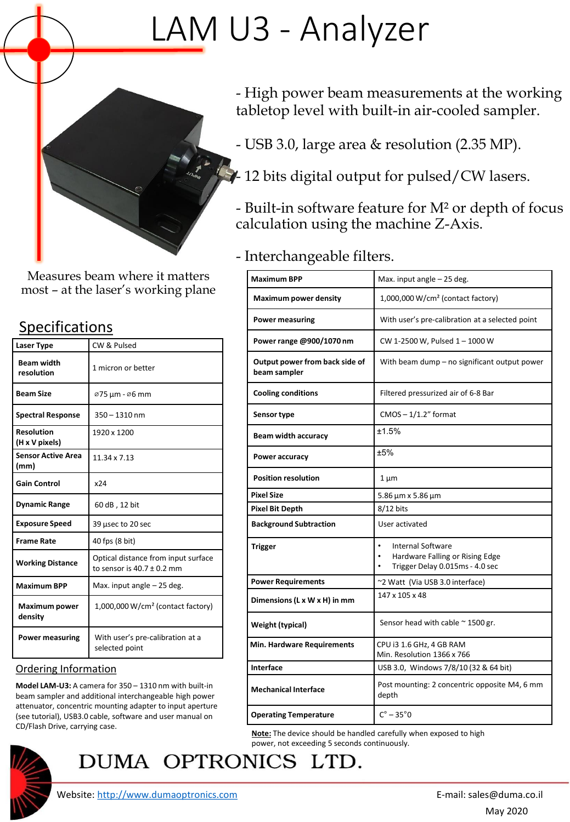# LAM U3 - Analyzer



Measures beam where it matters most – at the laser's working plane

## Specifications

| <b>Laser Type</b>                   | CW & Pulsed                                                           |
|-------------------------------------|-----------------------------------------------------------------------|
| <b>Beam width</b><br>resolution     | 1 micron or better                                                    |
| <b>Beam Size</b>                    | ø75 μm - ø6 mm                                                        |
| <b>Spectral Response</b>            | $350 - 1310$ nm                                                       |
| <b>Resolution</b><br>(H x V pixels) | 1920 x 1200                                                           |
| <b>Sensor Active Area</b><br>(mm)   | 11.34 x 7.13                                                          |
| <b>Gain Control</b>                 | x24                                                                   |
| <b>Dynamic Range</b>                | 60 dB, 12 bit                                                         |
| <b>Exposure Speed</b>               | 39 usec to 20 sec                                                     |
| <b>Frame Rate</b>                   | 40 fps (8 bit)                                                        |
| <b>Working Distance</b>             | Optical distance from input surface<br>to sensor is $40.7 \pm 0.2$ mm |
| <b>Maximum BPP</b>                  | Max. input angle - 25 deg.                                            |
| Maximum power<br>density            | $1,000,000 \,\mathrm{W/cm^2}$ (contact factory)                       |
| <b>Power measuring</b>              | With user's pre-calibration at a<br>selected point                    |

#### Ordering Information

**Model LAM-U3:** A camera for 350 – 1310 nm with built-in beam sampler and additional interchangeable high power attenuator, concentric mounting adapter to input aperture (see tutorial), USB3.0 cable, software and user manual on CD/Flash Drive, carrying case.



# DUMA OPTRONICS LTD.

- High power beam measurements at the working tabletop level with built-in air-cooled sampler.

- USB 3.0, large area & resolution (2.35 MP).
- $\neq$  12 bits digital output for pulsed/CW lasers.
- Built-in software feature for M² or depth of focus calculation using the machine Z-Axis.

### - Interchangeable filters.

| <b>Maximum BPP</b>                             | Max. input angle - 25 deg.                                                                                  |
|------------------------------------------------|-------------------------------------------------------------------------------------------------------------|
| <b>Maximum power density</b>                   | 1,000,000 W/cm <sup>2</sup> (contact factory)                                                               |
| <b>Power measuring</b>                         | With user's pre-calibration at a selected point                                                             |
| Power range @900/1070 nm                       | CW 1-2500 W, Pulsed 1 - 1000 W                                                                              |
| Output power from back side of<br>beam sampler | With beam dump – no significant output power                                                                |
| <b>Cooling conditions</b>                      | Filtered pressurized air of 6-8 Bar                                                                         |
| Sensor type                                    | $CMOS - 1/1.2"$ format                                                                                      |
| <b>Beam width accuracy</b>                     | ±1.5%                                                                                                       |
| Power accuracy                                 | ±5%                                                                                                         |
| <b>Position resolution</b>                     | $1 \mu m$                                                                                                   |
| <b>Pixel Size</b>                              | 5.86 µm x 5.86 µm                                                                                           |
| <b>Pixel Bit Depth</b>                         | $8/12$ bits                                                                                                 |
| <b>Background Subtraction</b>                  | User activated                                                                                              |
| <b>Trigger</b>                                 | $\bullet$<br><b>Internal Software</b><br>Hardware Falling or Rising Edge<br>Trigger Delay 0.015ms - 4.0 sec |
| <b>Power Requirements</b>                      | ~2 Watt (Via USB 3.0 interface)                                                                             |
| Dimensions (L x W x H) in mm                   | 147 x 105 x 48                                                                                              |
| Weight (typical)                               | Sensor head with cable $\approx$ 1500 gr.                                                                   |
| <b>Min. Hardware Requirements</b>              | CPU i3 1.6 GHz, 4 GB RAM<br>Min. Resolution 1366 x 766                                                      |
| Interface                                      | USB 3.0, Windows 7/8/10 (32 & 64 bit)                                                                       |
| <b>Mechanical Interface</b>                    | Post mounting: 2 concentric opposite M4, 6 mm<br>depth                                                      |
| <b>Operating Temperature</b>                   | $C^\circ - 35^\circ 0$                                                                                      |

**Note:** The device should be handled carefully when exposed to high power, not exceeding 5 seconds continuously.

Website: [http://www.dumaoptronics.com](http://www.dumaoptronics.com/) example and the set of the set of the E-mail: sales@duma.co.il